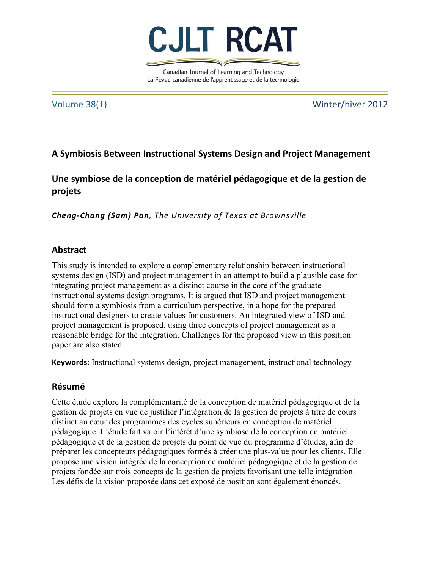

La Revue canadienne de l'apprentissage et de la technologie

Volume 38

Winter/hiver 2012

# A Symbiosis Between Instructional Systems Design and Proiect Management

Une symbiose de la conception de matériel pédagogique et de la gestion de **-**

*Cheng-Chang (Sam) Pan. The University of Texas at Brownsville* 

## Abstract

This study is intended to explore a complementary relationship between instructional systems design (ISD) and project management in an attempt to build a plausible case for integrating project management as a distinct course in the core of the graduate instructional systems design programs. It is argued that ISD and project management should form a symbiosis from a curriculum perspective, in a hope for the prepared instructional designers to create values for customers. An integrated view of ISD and project management is proposed, using three concepts of project management as a reasonable bridge for the integration. Challenges for the proposed view in this position paper are also stated.

**Keywords:** Instructional systems design, project management, instructional technology

## **Résumé**

Cette étude explore la complémentarité de la conception de matériel pédagogique et de la gestion de projets en vue de justifier l'intégration de la gestion de projets à titre de cours distinct au cœur des programmes des cycles supérieurs en conception de matériel pédagogique. L'étude fait valoir l'intérêt d'une symbiose de la conception de matériel pédagogique et de la gestion de projets du point de vue du programme d'études, afin de préparer les concepteurs pédagogiques formés à créer une plus-value pour les clients. Elle propose une vision intégrée de la conception de matériel pédagogique et de la gestion de projets fondée sur trois concepts de la gestion de projets favorisant une telle intégration. Les défis de la vision proposée dans cet exposé de position sont également énoncés.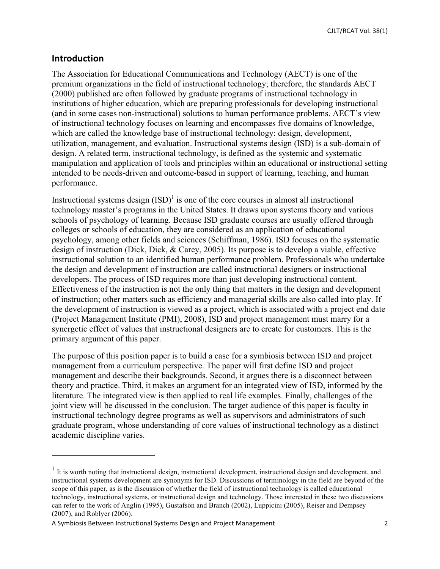$CLIT/RCAT Vol. 38(1)$ 

### **Introduction**

 $\overline{a}$ 

The Association for Educational Communications and Technology (AECT) is one of the premium organizations in the field of instructional technology; therefore, the standards AECT (2000) published are often followed by graduate programs of instructional technology in institutions of higher education, which are preparing professionals for developing instructional (and in some cases non-instructional) solutions to human performance problems. AECT's view of instructional technology focuses on learning and encompasses five domains of knowledge, which are called the knowledge base of instructional technology: design, development, utilization, management, and evaluation. Instructional systems design (ISD) is a sub-domain of design. A related term, instructional technology, is defined as the systemic and systematic manipulation and application of tools and principles within an educational or instructional setting intended to be needs-driven and outcome-based in support of learning, teaching, and human performance.

Instructional systems design  $(ISD)^{1}$  is one of the core courses in almost all instructional technology master's programs in the United States. It draws upon systems theory and various schools of psychology of learning. Because ISD graduate courses are usually offered through colleges or schools of education, they are considered as an application of educational psychology, among other fields and sciences (Schiffman, 1986). ISD focuses on the systematic design of instruction (Dick, Dick, & Carey, 2005). Its purpose is to develop a viable, effective instructional solution to an identified human performance problem. Professionals who undertake the design and development of instruction are called instructional designers or instructional developers. The process of ISD requires more than just developing instructional content. Effectiveness of the instruction is not the only thing that matters in the design and development of instruction; other matters such as efficiency and managerial skills are also called into play. If the development of instruction is viewed as a project, which is associated with a project end date (Project Management Institute (PMI), 2008), ISD and project management must marry for a synergetic effect of values that instructional designers are to create for customers. This is the primary argument of this paper.

The purpose of this position paper is to build a case for a symbiosis between ISD and project management from a curriculum perspective. The paper will first define ISD and project management and describe their backgrounds. Second, it argues there is a disconnect between theory and practice. Third, it makes an argument for an integrated view of ISD, informed by the literature. The integrated view is then applied to real life examples. Finally, challenges of the joint view will be discussed in the conclusion. The target audience of this paper is faculty in instructional technology degree programs as well as supervisors and administrators of such graduate program, whose understanding of core values of instructional technology as a distinct academic discipline varies.

 $1$  It is worth noting that instructional design, instructional development, instructional design and development, and instructional systems development are synonyms for ISD. Discussions of terminology in the field are beyond of the scope of this paper, as is the discussion of whether the field of instructional technology is called educational technology, instructional systems, or instructional design and technology. Those interested in these two discussions can refer to the work of Anglin (1995), Gustafson and Branch (2002), Luppicini (2005), Reiser and Dempsey (2007), and Roblyer (2006).

A Symbiosis Between Instructional Systems Design and Project Management 2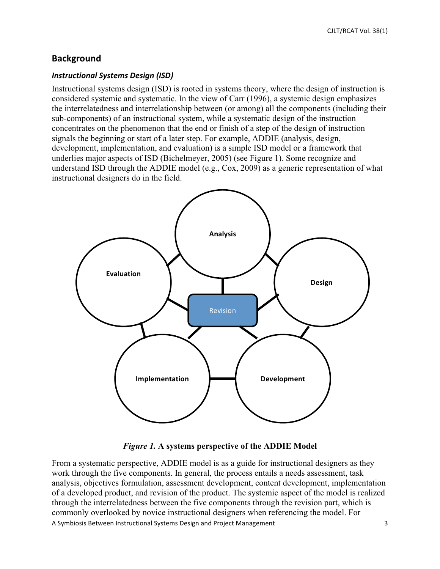## **Background**

#### **Instructional Systems Desian (ISD)**

Instructional systems design (ISD) is rooted in systems theory, where the design of instruction is considered systemic and systematic. In the view of Carr (1996), a systemic design emphasizes the interrelatedness and interrelationship between (or among) all the components (including their sub-components) of an instructional system, while a systematic design of the instruction concentrates on the phenomenon that the end or finish of a step of the design of instruction signals the beginning or start of a later step. For example, ADDIE (analysis, design, development, implementation, and evaluation) is a simple ISD model or a framework that underlies major aspects of ISD (Bichelmeyer, 2005) (see Figure 1). Some recognize and understand ISD through the ADDIE model (e.g., Cox, 2009) as a generic representation of what instructional designers do in the field.



 *Figure 1.* **A systems perspective of the ADDIE Model**

8 Symbiosis Between Instructional Systems Design and Project Management From a systematic perspective, ADDIE model is as a guide for instructional designers as they work through the five components. In general, the process entails a needs assessment, task analysis, objectives formulation, assessment development, content development, implementation of a developed product, and revision of the product. The systemic aspect of the model is realized through the interrelatedness between the five components through the revision part, which is commonly overlooked by novice instructional designers when referencing the model. For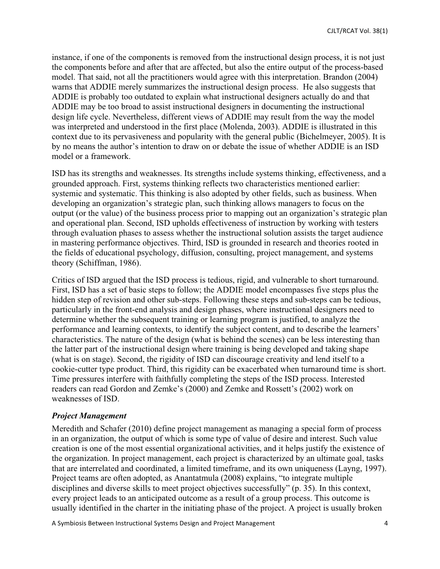instance, if one of the components is removed from the instructional design process, it is not just the components before and after that are affected, but also the entire output of the process-based model. That said, not all the practitioners would agree with this interpretation. Brandon (2004) warns that ADDIE merely summarizes the instructional design process. He also suggests that ADDIE is probably too outdated to explain what instructional designers actually do and that ADDIE may be too broad to assist instructional designers in documenting the instructional design life cycle. Nevertheless, different views of ADDIE may result from the way the model was interpreted and understood in the first place (Molenda, 2003). ADDIE is illustrated in this context due to its pervasiveness and popularity with the general public (Bichelmeyer, 2005). It is by no means the author's intention to draw on or debate the issue of whether ADDIE is an ISD model or a framework.

ISD has its strengths and weaknesses. Its strengths include systems thinking, effectiveness, and a grounded approach. First, systems thinking reflects two characteristics mentioned earlier: systemic and systematic. This thinking is also adopted by other fields, such as business. When developing an organization's strategic plan, such thinking allows managers to focus on the output (or the value) of the business process prior to mapping out an organization's strategic plan and operational plan. Second, ISD upholds effectiveness of instruction by working with testers through evaluation phases to assess whether the instructional solution assists the target audience in mastering performance objectives. Third, ISD is grounded in research and theories rooted in the fields of educational psychology, diffusion, consulting, project management, and systems theory (Schiffman, 1986).

Critics of ISD argued that the ISD process is tedious, rigid, and vulnerable to short turnaround. First, ISD has a set of basic steps to follow; the ADDIE model encompasses five steps plus the hidden step of revision and other sub-steps. Following these steps and sub-steps can be tedious, particularly in the front-end analysis and design phases, where instructional designers need to determine whether the subsequent training or learning program is justified, to analyze the performance and learning contexts, to identify the subject content, and to describe the learners' characteristics. The nature of the design (what is behind the scenes) can be less interesting than the latter part of the instructional design where training is being developed and taking shape (what is on stage). Second, the rigidity of ISD can discourage creativity and lend itself to a cookie-cutter type product. Third, this rigidity can be exacerbated when turnaround time is short. Time pressures interfere with faithfully completing the steps of the ISD process. Interested readers can read Gordon and Zemke's (2000) and Zemke and Rossett's (2002) work on weaknesses of ISD.

*Project Management*  Meredith and Schafer (2010) define project management as managing a special form of process in an organization, the output of which is some type of value of desire and interest. Such value creation is one of the most essential organizational activities, and it helps justify the existence of the organization. In project management, each project is characterized by an ultimate goal, tasks that are interrelated and coordinated, a limited timeframe, and its own uniqueness (Layng, 1997). Project teams are often adopted, as Anantatmula (2008) explains, "to integrate multiple disciplines and diverse skills to meet project objectives successfully" (p. 35). In this context, every project leads to an anticipated outcome as a result of a group process. This outcome is usually identified in the charter in the initiating phase of the project. A project is usually broken

A Symbiosis Between Instructional Systems Design and Project Management 4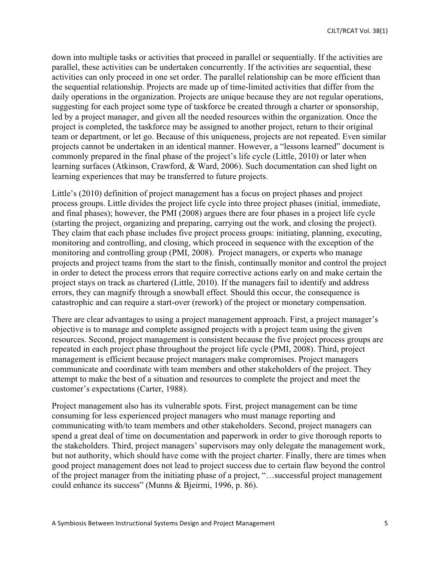down into multiple tasks or activities that proceed in parallel or sequentially. If the activities are parallel, these activities can be undertaken concurrently. If the activities are sequential, these activities can only proceed in one set order. The parallel relationship can be more efficient than the sequential relationship. Projects are made up of time-limited activities that differ from the daily operations in the organization. Projects are unique because they are not regular operations, suggesting for each project some type of taskforce be created through a charter or sponsorship, led by a project manager, and given all the needed resources within the organization. Once the project is completed, the taskforce may be assigned to another project, return to their original team or department, or let go. Because of this uniqueness, projects are not repeated. Even similar projects cannot be undertaken in an identical manner. However, a "lessons learned" document is commonly prepared in the final phase of the project's life cycle (Little, 2010) or later when learning surfaces (Atkinson, Crawford, & Ward, 2006). Such documentation can shed light on learning experiences that may be transferred to future projects.

Little's (2010) definition of project management has a focus on project phases and project process groups. Little divides the project life cycle into three project phases (initial, immediate, and final phases); however, the PMI (2008) argues there are four phases in a project life cycle (starting the project, organizing and preparing, carrying out the work, and closing the project). They claim that each phase includes five project process groups: initiating, planning, executing, monitoring and controlling, and closing, which proceed in sequence with the exception of the monitoring and controlling group (PMI, 2008). Project managers, or experts who manage projects and project teams from the start to the finish, continually monitor and control the project in order to detect the process errors that require corrective actions early on and make certain the project stays on track as chartered (Little, 2010). If the managers fail to identify and address errors, they can magnify through a snowball effect. Should this occur, the consequence is catastrophic and can require a start-over (rework) of the project or monetary compensation.

There are clear advantages to using a project management approach. First, a project manager's objective is to manage and complete assigned projects with a project team using the given resources. Second, project management is consistent because the five project process groups are repeated in each project phase throughout the project life cycle (PMI, 2008). Third, project management is efficient because project managers make compromises. Project managers communicate and coordinate with team members and other stakeholders of the project. They attempt to make the best of a situation and resources to complete the project and meet the customer's expectations (Carter, 1988).

Project management also has its vulnerable spots. First, project management can be time consuming for less experienced project managers who must manage reporting and communicating with/to team members and other stakeholders. Second, project managers can spend a great deal of time on documentation and paperwork in order to give thorough reports to the stakeholders. Third, project managers' supervisors may only delegate the management work, but not authority, which should have come with the project charter. Finally, there are times when good project management does not lead to project success due to certain flaw beyond the control of the project manager from the initiating phase of a project, "…successful project management could enhance its success" (Munns & Bjeirmi, 1996, p. 86).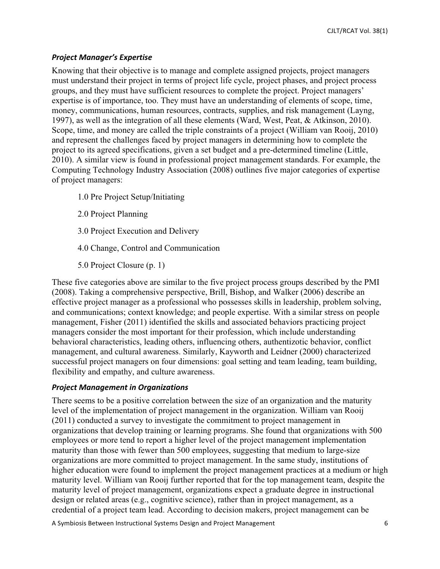#### **Project Manager's Expertise**

Knowing that their objective is to manage and complete assigned projects, project managers must understand their project in terms of project life cycle, project phases, and project process groups, and they must have sufficient resources to complete the project. Project managers' expertise is of importance, too. They must have an understanding of elements of scope, time, money, communications, human resources, contracts, supplies, and risk management (Layng, 1997), as well as the integration of all these elements (Ward, West, Peat, & Atkinson, 2010). Scope, time, and money are called the triple constraints of a project (William van Rooij, 2010) and represent the challenges faced by project managers in determining how to complete the project to its agreed specifications, given a set budget and a pre-determined timeline (Little, 2010). A similar view is found in professional project management standards. For example, the Computing Technology Industry Association (2008) outlines five major categories of expertise of project managers:

- 1.0 Pre Project Setup/Initiating
- 2.0 Project Planning
- 3.0 Project Execution and Delivery
- 4.0 Change, Control and Communication
- 5.0 Project Closure (p. 1)

These five categories above are similar to the five project process groups described by the PMI (2008). Taking a comprehensive perspective, Brill, Bishop, and Walker (2006) describe an effective project manager as a professional who possesses skills in leadership, problem solving, and communications; context knowledge; and people expertise. With a similar stress on people management, Fisher (2011) identified the skills and associated behaviors practicing project managers consider the most important for their profession, which include understanding behavioral characteristics, leading others, influencing others, authentizotic behavior, conflict management, and cultural awareness. Similarly, Kayworth and Leidner (2000) characterized successful project managers on four dimensions: goal setting and team leading, team building, flexibility and empathy, and culture awareness.

#### **Project Management in Organizations**

There seems to be a positive correlation between the size of an organization and the maturity level of the implementation of project management in the organization. William van Rooij (2011) conducted a survey to investigate the commitment to project management in organizations that develop training or learning programs. She found that organizations with 500 employees or more tend to report a higher level of the project management implementation maturity than those with fewer than 500 employees, suggesting that medium to large-size organizations are more committed to project management. In the same study, institutions of higher education were found to implement the project management practices at a medium or high maturity level. William van Rooij further reported that for the top management team, despite the maturity level of project management, organizations expect a graduate degree in instructional design or related areas (e.g., cognitive science), rather than in project management, as a credential of a project team lead. According to decision makers, project management can be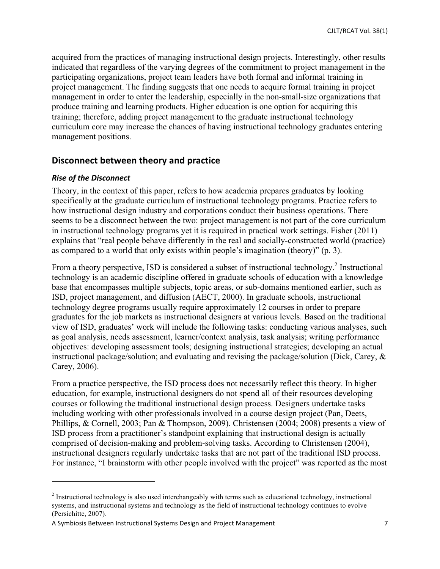acquired from the practices of managing instructional design projects. Interestingly, other results indicated that regardless of the varying degrees of the commitment to project management in the participating organizations, project team leaders have both formal and informal training in project management. The finding suggests that one needs to acquire formal training in project management in order to enter the leadership, especially in the non-small-size organizations that produce training and learning products. Higher education is one option for acquiring this training; therefore, adding project management to the graduate instructional technology curriculum core may increase the chances of having instructional technology graduates entering management positions.

#### **Disconnect between theory and practice**

#### **Rise of the Disconnect**

 $\overline{a}$ 

Theory, in the context of this paper, refers to how academia prepares graduates by looking specifically at the graduate curriculum of instructional technology programs. Practice refers to how instructional design industry and corporations conduct their business operations. There seems to be a disconnect between the two: project management is not part of the core curriculum in instructional technology programs yet it is required in practical work settings. Fisher (2011) explains that "real people behave differently in the real and socially-constructed world (practice) as compared to a world that only exists within people's imagination (theory)" (p. 3).

From a theory perspective, ISD is considered a subset of instructional technology.<sup>2</sup> Instructional technology is an academic discipline offered in graduate schools of education with a knowledge base that encompasses multiple subjects, topic areas, or sub-domains mentioned earlier, such as ISD, project management, and diffusion (AECT, 2000). In graduate schools, instructional technology degree programs usually require approximately 12 courses in order to prepare graduates for the job markets as instructional designers at various levels. Based on the traditional view of ISD, graduates' work will include the following tasks: conducting various analyses, such as goal analysis, needs assessment, learner/context analysis, task analysis; writing performance objectives: developing assessment tools; designing instructional strategies; developing an actual instructional package/solution; and evaluating and revising the package/solution (Dick, Carey, & Carey, 2006).

From a practice perspective, the ISD process does not necessarily reflect this theory. In higher education, for example, instructional designers do not spend all of their resources developing courses or following the traditional instructional design process. Designers undertake tasks including working with other professionals involved in a course design project (Pan, Deets, Phillips, & Cornell, 2003; Pan & Thompson, 2009). Christensen (2004; 2008) presents a view of ISD process from a practitioner's standpoint explaining that instructional design is actually comprised of decision-making and problem-solving tasks. According to Christensen (2004), instructional designers regularly undertake tasks that are not part of the traditional ISD process. For instance, "I brainstorm with other people involved with the project" was reported as the most

 $2$  Instructional technology is also used interchangeably with terms such as educational technology, instructional systems, and instructional systems and technology as the field of instructional technology continues to evolve (Persichitte, 2007).

A Symbiosis Between Instructional Systems Design and Project Management (3) 22 22 23 24 25 26 27 28 20 20 20 20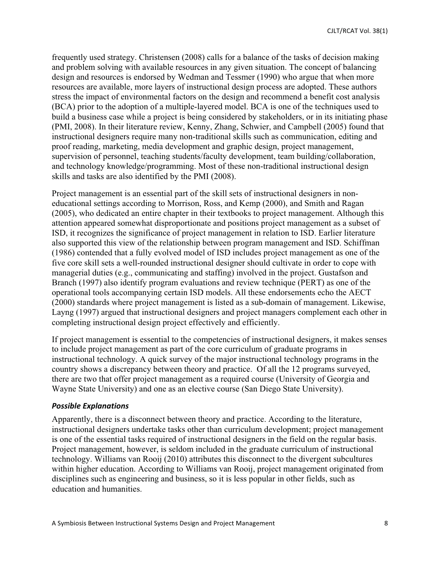frequently used strategy. Christensen (2008) calls for a balance of the tasks of decision making and problem solving with available resources in any given situation. The concept of balancing design and resources is endorsed by Wedman and Tessmer (1990) who argue that when more resources are available, more layers of instructional design process are adopted. These authors stress the impact of environmental factors on the design and recommend a benefit cost analysis (BCA) prior to the adoption of a multiple-layered model. BCA is one of the techniques used to build a business case while a project is being considered by stakeholders, or in its initiating phase (PMI, 2008). In their literature review, Kenny, Zhang, Schwier, and Campbell (2005) found that instructional designers require many non-traditional skills such as communication, editing and proof reading, marketing, media development and graphic design, project management, supervision of personnel, teaching students/faculty development, team building/collaboration, and technology knowledge/programming. Most of these non-traditional instructional design skills and tasks are also identified by the PMI (2008).

Project management is an essential part of the skill sets of instructional designers in noneducational settings according to Morrison, Ross, and Kemp (2000), and Smith and Ragan (2005), who dedicated an entire chapter in their textbooks to project management. Although this attention appeared somewhat disproportionate and positions project management as a subset of ISD, it recognizes the significance of project management in relation to ISD. Earlier literature also supported this view of the relationship between program management and ISD. Schiffman (1986) contended that a fully evolved model of ISD includes project management as one of the five core skill sets a well-rounded instructional designer should cultivate in order to cope with managerial duties (e.g., communicating and staffing) involved in the project. Gustafson and Branch (1997) also identify program evaluations and review technique (PERT) as one of the operational tools accompanying certain ISD models. All these endorsements echo the AECT (2000) standards where project management is listed as a sub-domain of management. Likewise, Layng (1997) argued that instructional designers and project managers complement each other in completing instructional design project effectively and efficiently.

If project management is essential to the competencies of instructional designers, it makes senses to include project management as part of the core curriculum of graduate programs in instructional technology. A quick survey of the major instructional technology programs in the country shows a discrepancy between theory and practice. Of all the 12 programs surveyed, there are two that offer project management as a required course (University of Georgia and Wayne State University) and one as an elective course (San Diego State University).

#### **Possible Explanations**

Apparently, there is a disconnect between theory and practice. According to the literature, instructional designers undertake tasks other than curriculum development; project management is one of the essential tasks required of instructional designers in the field on the regular basis. Project management, however, is seldom included in the graduate curriculum of instructional technology. Williams van Rooij (2010) attributes this disconnect to the divergent subcultures within higher education. According to Williams van Rooij, project management originated from disciplines such as engineering and business, so it is less popular in other fields, such as education and humanities.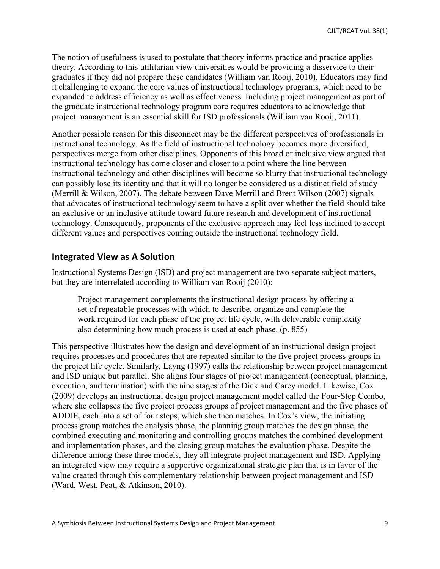The notion of usefulness is used to postulate that theory informs practice and practice applies theory. According to this utilitarian view universities would be providing a disservice to their graduates if they did not prepare these candidates (William van Rooij, 2010). Educators may find it challenging to expand the core values of instructional technology programs, which need to be expanded to address efficiency as well as effectiveness. Including project management as part of the graduate instructional technology program core requires educators to acknowledge that project management is an essential skill for ISD professionals (William van Rooij, 2011).

Another possible reason for this disconnect may be the different perspectives of professionals in instructional technology. As the field of instructional technology becomes more diversified, perspectives merge from other disciplines. Opponents of this broad or inclusive view argued that instructional technology has come closer and closer to a point where the line between instructional technology and other disciplines will become so blurry that instructional technology can possibly lose its identity and that it will no longer be considered as a distinct field of study (Merrill & Wilson, 2007). The debate between Dave Merrill and Brent Wilson (2007) signals that advocates of instructional technology seem to have a split over whether the field should take an exclusive or an inclusive attitude toward future research and development of instructional technology. Consequently, proponents of the exclusive approach may feel less inclined to accept different values and perspectives coming outside the instructional technology field.

## **Integrated View as A Solution**

Instructional Systems Design (ISD) and project management are two separate subject matters, but they are interrelated according to William van Rooij (2010):

Project management complements the instructional design process by offering a set of repeatable processes with which to describe, organize and complete the work required for each phase of the project life cycle, with deliverable complexity also determining how much process is used at each phase. (p. 855)

This perspective illustrates how the design and development of an instructional design project requires processes and procedures that are repeated similar to the five project process groups in the project life cycle. Similarly, Layng (1997) calls the relationship between project management and ISD unique but parallel. She aligns four stages of project management (conceptual, planning, execution, and termination) with the nine stages of the Dick and Carey model. Likewise, Cox (2009) develops an instructional design project management model called the Four-Step Combo, where she collapses the five project process groups of project management and the five phases of ADDIE, each into a set of four steps, which she then matches. In Cox's view, the initiating process group matches the analysis phase, the planning group matches the design phase, the combined executing and monitoring and controlling groups matches the combined development and implementation phases, and the closing group matches the evaluation phase. Despite the difference among these three models, they all integrate project management and ISD. Applying an integrated view may require a supportive organizational strategic plan that is in favor of the value created through this complementary relationship between project management and ISD (Ward, West, Peat, & Atkinson, 2010).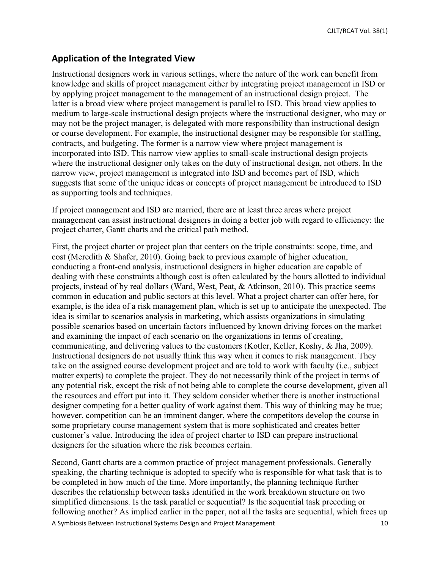#### **Application of the Integrated View**

Instructional designers work in various settings, where the nature of the work can benefit from knowledge and skills of project management either by integrating project management in ISD or by applying project management to the management of an instructional design project. The latter is a broad view where project management is parallel to ISD. This broad view applies to medium to large-scale instructional design projects where the instructional designer, who may or may not be the project manager, is delegated with more responsibility than instructional design or course development. For example, the instructional designer may be responsible for staffing, contracts, and budgeting. The former is a narrow view where project management is incorporated into ISD. This narrow view applies to small-scale instructional design projects where the instructional designer only takes on the duty of instructional design, not others. In the narrow view, project management is integrated into ISD and becomes part of ISD, which suggests that some of the unique ideas or concepts of project management be introduced to ISD as supporting tools and techniques.

If project management and ISD are married, there are at least three areas where project management can assist instructional designers in doing a better job with regard to efficiency: the project charter, Gantt charts and the critical path method.

First, the project charter or project plan that centers on the triple constraints: scope, time, and cost (Meredith & Shafer, 2010). Going back to previous example of higher education, conducting a front-end analysis, instructional designers in higher education are capable of dealing with these constraints although cost is often calculated by the hours allotted to individual projects, instead of by real dollars (Ward, West, Peat, & Atkinson, 2010). This practice seems common in education and public sectors at this level. What a project charter can offer here, for example, is the idea of a risk management plan, which is set up to anticipate the unexpected. The idea is similar to scenarios analysis in marketing, which assists organizations in simulating possible scenarios based on uncertain factors influenced by known driving forces on the market and examining the impact of each scenario on the organizations in terms of creating, communicating, and delivering values to the customers (Kotler, Keller, Koshy, & Jha, 2009). Instructional designers do not usually think this way when it comes to risk management. They take on the assigned course development project and are told to work with faculty (i.e., subject matter experts) to complete the project. They do not necessarily think of the project in terms of any potential risk, except the risk of not being able to complete the course development, given all the resources and effort put into it. They seldom consider whether there is another instructional designer competing for a better quality of work against them. This way of thinking may be true; however, competition can be an imminent danger, where the competitors develop the course in some proprietary course management system that is more sophisticated and creates better customer's value. Introducing the idea of project charter to ISD can prepare instructional designers for the situation where the risk becomes certain.

A Symbiosis Between Instructional Systems Design and Project Management 40 10 Second, Gantt charts are a common practice of project management professionals. Generally speaking, the charting technique is adopted to specify who is responsible for what task that is to be completed in how much of the time. More importantly, the planning technique further describes the relationship between tasks identified in the work breakdown structure on two simplified dimensions. Is the task parallel or sequential? Is the sequential task preceding or following another? As implied earlier in the paper, not all the tasks are sequential, which frees up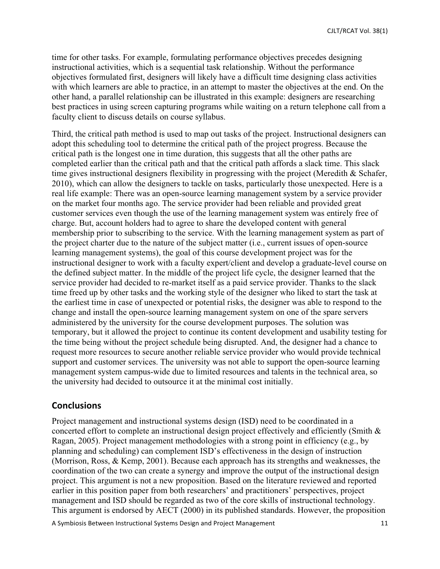time for other tasks. For example, formulating performance objectives precedes designing instructional activities, which is a sequential task relationship. Without the performance objectives formulated first, designers will likely have a difficult time designing class activities with which learners are able to practice, in an attempt to master the objectives at the end. On the other hand, a parallel relationship can be illustrated in this example: designers are researching best practices in using screen capturing programs while waiting on a return telephone call from a faculty client to discuss details on course syllabus.

Third, the critical path method is used to map out tasks of the project. Instructional designers can adopt this scheduling tool to determine the critical path of the project progress. Because the critical path is the longest one in time duration, this suggests that all the other paths are completed earlier than the critical path and that the critical path affords a slack time. This slack time gives instructional designers flexibility in progressing with the project (Meredith & Schafer, 2010), which can allow the designers to tackle on tasks, particularly those unexpected. Here is a real life example: There was an open-source learning management system by a service provider on the market four months ago. The service provider had been reliable and provided great customer services even though the use of the learning management system was entirely free of charge. But, account holders had to agree to share the developed content with general membership prior to subscribing to the service. With the learning management system as part of the project charter due to the nature of the subject matter (i.e., current issues of open-source learning management systems), the goal of this course development project was for the instructional designer to work with a faculty expert/client and develop a graduate-level course on the defined subject matter. In the middle of the project life cycle, the designer learned that the service provider had decided to re-market itself as a paid service provider. Thanks to the slack time freed up by other tasks and the working style of the designer who liked to start the task at the earliest time in case of unexpected or potential risks, the designer was able to respond to the change and install the open-source learning management system on one of the spare servers administered by the university for the course development purposes. The solution was temporary, but it allowed the project to continue its content development and usability testing for the time being without the project schedule being disrupted. And, the designer had a chance to request more resources to secure another reliable service provider who would provide technical support and customer services. The university was not able to support the open-source learning management system campus-wide due to limited resources and talents in the technical area, so the university had decided to outsource it at the minimal cost initially.

### **Conclusions**

Project management and instructional systems design (ISD) need to be coordinated in a concerted effort to complete an instructional design project effectively and efficiently (Smith & Ragan, 2005). Project management methodologies with a strong point in efficiency (e.g., by planning and scheduling) can complement ISD's effectiveness in the design of instruction (Morrison, Ross, & Kemp, 2001). Because each approach has its strengths and weaknesses, the coordination of the two can create a synergy and improve the output of the instructional design project. This argument is not a new proposition. Based on the literature reviewed and reported earlier in this position paper from both researchers' and practitioners' perspectives, project management and ISD should be regarded as two of the core skills of instructional technology. This argument is endorsed by AECT (2000) in its published standards. However, the proposition

A Symbiosis Between Instructional Systems Design and Project Management 41 match of the Management of the Management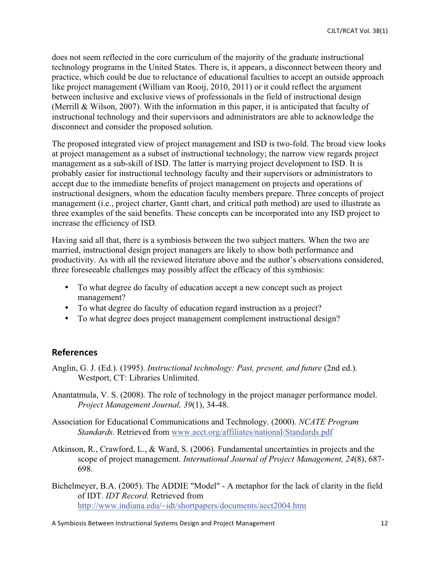does not seem reflected in the core curriculum of the majority of the graduate instructional technology programs in the United States. There is, it appears, a disconnect between theory and practice, which could be due to reluctance of educational faculties to accept an outside approach like project management (William van Rooij, 2010, 2011) or it could reflect the argument between inclusive and exclusive views of professionals in the field of instructional design (Merrill & Wilson, 2007). With the information in this paper, it is anticipated that faculty of instructional technology and their supervisors and administrators are able to acknowledge the disconnect and consider the proposed solution.

The proposed integrated view of project management and ISD is two-fold. The broad view looks at project management as a subset of instructional technology; the narrow view regards project management as a sub-skill of ISD. The latter is marrying project development to ISD. It is probably easier for instructional technology faculty and their supervisors or administrators to accept due to the immediate benefits of project management on projects and operations of instructional designers, whom the education faculty members prepare. Three concepts of project management (i.e., project charter, Gantt chart, and critical path method) are used to illustrate as three examples of the said benefits. These concepts can be incorporated into any ISD project to increase the efficiency of ISD.

Having said all that, there is a symbiosis between the two subject matters. When the two are married, instructional design project managers are likely to show both performance and productivity. As with all the reviewed literature above and the author's observations considered, three foreseeable challenges may possibly affect the efficacy of this symbiosis:

- To what degree do faculty of education accept a new concept such as project management?
- To what degree do faculty of education regard instruction as a project?
- To what degree does project management complement instructional design?

## **References**

- Anglin, G. J. (Ed.). (1995). *Instructional technology: Past, present, and future* (2nd ed.). Westport, CT: Libraries Unlimited.
- Anantatmula, V. S. (2008). The role of technology in the project manager performance model. *Project Management Journal, 39*(1), 34-48.
- Association for Educational Communications and Technology. (2000). *NCATE Program Standards.* Retrieved from www.aect.org/affiliates/national/Standards.pdf
- Atkinson, R., Crawford, L., & Ward, S. (2006). Fundamental uncertainties in projects and the scope of project management. *International Journal of Project Management, 24*(8), 687- 698.
- Bichelmeyer, B.A. (2005). The ADDIE "Model" A metaphor for the lack of clarity in the field of IDT. *IDT Record.* Retrieved from http://www.indiana.edu/~idt/shortpapers/documents/aect2004.htm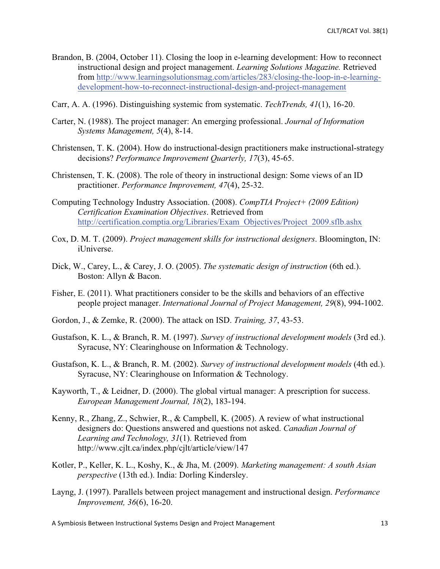- Brandon, B. (2004, October 11). Closing the loop in e-learning development: How to reconnect instructional design and project management. *Learning Solutions Magazine.* Retrieved from http://www.learningsolutionsmag.com/articles/283/closing-the-loop-in-e-learningdevelopment-how-to-reconnect-instructional-design-and-project-management
- Carr, A. A. (1996). Distinguishing systemic from systematic. *TechTrends, 41*(1), 16-20.
- Carter, N. (1988). The project manager: An emerging professional. *Journal of Information Systems Management, 5*(4), 8-14.
- Christensen, T. K. (2004). How do instructional-design practitioners make instructional-strategy decisions? *Performance Improvement Quarterly, 17*(3), 45-65.
- Christensen, T. K. (2008). The role of theory in instructional design: Some views of an ID practitioner. *Performance Improvement, 47*(4), 25-32.
- Computing Technology Industry Association. (2008). *CompTIA Project+ (2009 Edition) Certification Examination Objectives*. Retrieved from http://certification.comptia.org/Libraries/Exam\_Objectives/Project\_2009.sflb.ashx
- Cox, D. M. T. (2009). *Project management skills for instructional designers*. Bloomington, IN: iUniverse.
- Dick, W., Carey, L., & Carey, J. O. (2005). *The systematic design of instruction* (6th ed.). Boston: Allyn & Bacon.
- Fisher, E. (2011). What practitioners consider to be the skills and behaviors of an effective people project manager. *International Journal of Project Management, 29*(8), 994-1002.
- Gordon, J., & Zemke, R. (2000). The attack on ISD. *Training, 37*, 43-53.
- Gustafson, K. L., & Branch, R. M. (1997). *Survey of instructional development models* (3rd ed.). Syracuse, NY: Clearinghouse on Information & Technology.
- Gustafson, K. L., & Branch, R. M. (2002). *Survey of instructional development models* (4th ed.). Syracuse, NY: Clearinghouse on Information & Technology.
- Kayworth, T., & Leidner, D. (2000). The global virtual manager: A prescription for success. *European Management Journal, 18*(2), 183-194.
- Kenny, R., Zhang, Z., Schwier, R., & Campbell, K. (2005). A review of what instructional designers do: Questions answered and questions not asked. *Canadian Journal of Learning and Technology, 31*(1). Retrieved from http://www.cjlt.ca/index.php/cjlt/article/view/147
- Kotler, P., Keller, K. L., Koshy, K., & Jha, M. (2009). *Marketing management: A south Asian perspective* (13th ed.). India: Dorling Kindersley.
- Layng, J. (1997). Parallels between project management and instructional design. *Performance Improvement, 36*(6), 16-20.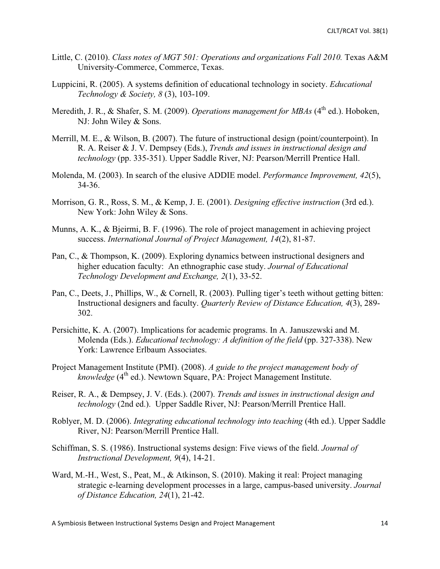- Little, C. (2010). *Class notes of MGT 501: Operations and organizations Fall 2010.* Texas A&M University-Commerce, Commerce, Texas.
- Luppicini, R. (2005). A systems definition of educational technology in society. *Educational Technology & Society, 8* (3), 103-109.
- Meredith, J. R., & Shafer, S. M. (2009). *Operations management for MBAs* (4<sup>th</sup> ed.). Hoboken, NJ: John Wiley & Sons.
- Merrill, M. E., & Wilson, B. (2007). The future of instructional design (point/counterpoint). In R. A. Reiser & J. V. Dempsey (Eds.), *Trends and issues in instructional design and technology* (pp. 335-351). Upper Saddle River, NJ: Pearson/Merrill Prentice Hall.
- Molenda, M. (2003). In search of the elusive ADDIE model. *Performance Improvement, 42*(5), 34-36.
- Morrison, G. R., Ross, S. M., & Kemp, J. E. (2001). *Designing effective instruction* (3rd ed.). New York: John Wiley & Sons.
- Munns, A. K., & Bjeirmi, B. F. (1996). The role of project management in achieving project success. *International Journal of Project Management, 14*(2), 81-87.
- Pan, C., & Thompson, K. (2009). Exploring dynamics between instructional designers and higher education faculty: An ethnographic case study. *Journal of Educational Technology Development and Exchange, 2*(1), 33-52.
- Pan, C., Deets, J., Phillips, W., & Cornell, R. (2003). Pulling tiger's teeth without getting bitten: Instructional designers and faculty. *Quarterly Review of Distance Education, 4*(3), 289- 302.
- Persichitte, K. A. (2007). Implications for academic programs. In A. Januszewski and M. Molenda (Eds.). *Educational technology: A definition of the field* (pp. 327-338). New York: Lawrence Erlbaum Associates.
- Project Management Institute (PMI). (2008). *A guide to the project management body of knowledge* (4<sup>th</sup> ed.). Newtown Square, PA: Project Management Institute.
- Reiser, R. A., & Dempsey, J. V. (Eds.). (2007). *Trends and issues in instructional design and technology* (2nd ed.). Upper Saddle River, NJ: Pearson/Merrill Prentice Hall.
- Roblyer, M. D. (2006). *Integrating educational technology into teaching* (4th ed.). Upper Saddle River, NJ: Pearson/Merrill Prentice Hall.
- Schiffman, S. S. (1986). Instructional systems design: Five views of the field. *Journal of Instructional Development, 9*(4), 14-21.
- Ward, M.-H., West, S., Peat, M., & Atkinson, S. (2010). Making it real: Project managing strategic e-learning development processes in a large, campus-based university. *Journal of Distance Education, 24*(1), 21-42.